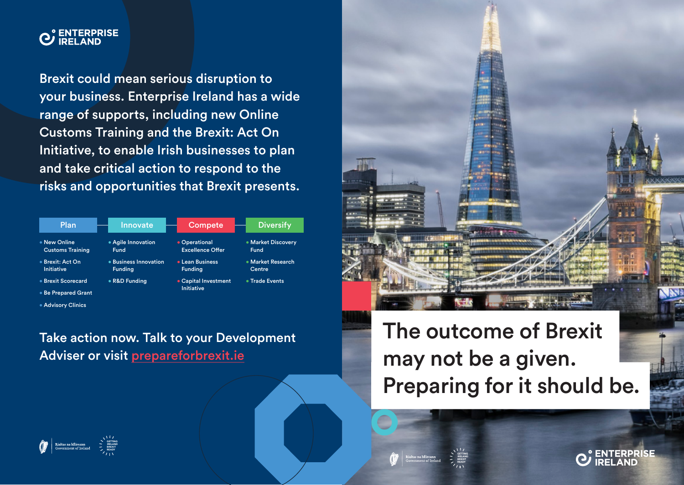

Brexit could mean serious disruption to your business. Enterprise Ireland has a wide range of supports, including new Online Customs Training and the Brexit: Act On Initiative, to enable Irish businesses to plan and take critical action to respond to the risks and opportunities that Brexit presents.

| Plan                                    | Innovate                                | Compete                                   | <b>Diversify</b>                  |
|-----------------------------------------|-----------------------------------------|-------------------------------------------|-----------------------------------|
| • New Online<br><b>Customs Training</b> | • Agile Innovation<br><b>Fund</b>       | • Operational<br><b>Excellence Offer</b>  | • Market Discovery<br><b>Fund</b> |
| ● Brexit: Act On<br>Initiative          | • Business Innovation<br><b>Funding</b> | • Lean Business<br><b>Funding</b>         | • Market Research<br>Centre       |
| • Brexit Scorecard                      | • R&D Funding                           | • Capital Investment<br><b>Initiative</b> | • Trade Events                    |
| <b>• Be Prepared Grant</b>              |                                         |                                           |                                   |
| • Advisory Clinics                      |                                         |                                           |                                   |

Take action now. Talk to your Development Adviser or visit prepareforbrexit.ie



The outcome of Brexit may not be a given. Preparing for it should be.



GETTING IRELAND **BREXIT READY**